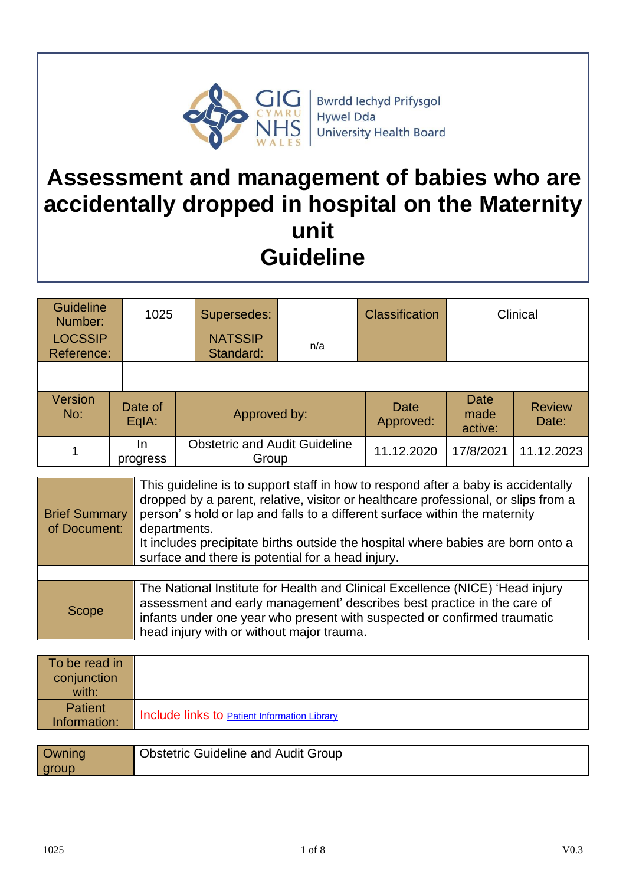

Bwrdd Iechyd Prifysgol<br>Hywel Dda University Health Board

# **Assessment and management of babies who are accidentally dropped in hospital on the Maternity unit Guideline**

| <b>Guideline</b><br>Number:  | 1025             | Supersedes:                                   |     | <b>Classification</b> | Clinical                |                        |
|------------------------------|------------------|-----------------------------------------------|-----|-----------------------|-------------------------|------------------------|
| <b>LOCSSIP</b><br>Reference: |                  | <b>NATSSIP</b><br>Standard:                   | n/a |                       |                         |                        |
|                              |                  |                                               |     |                       |                         |                        |
| Version<br>No:               | Date of<br>EqIA: | Approved by:                                  |     | Date<br>Approved:     | Date<br>made<br>active: | <b>Review</b><br>Date: |
|                              | In<br>progress   | <b>Obstetric and Audit Guideline</b><br>Group |     | 11.12.2020            | 17/8/2021               | 11.12.2023             |

| <b>Brief Summary</b><br>of Document: | This guideline is to support staff in how to respond after a baby is accidentally<br>dropped by a parent, relative, visitor or healthcare professional, or slips from a<br>person's hold or lap and falls to a different surface within the maternity<br>departments.<br>It includes precipitate births outside the hospital where babies are born onto a |
|--------------------------------------|-----------------------------------------------------------------------------------------------------------------------------------------------------------------------------------------------------------------------------------------------------------------------------------------------------------------------------------------------------------|
|                                      | surface and there is potential for a head injury.                                                                                                                                                                                                                                                                                                         |
|                                      |                                                                                                                                                                                                                                                                                                                                                           |
| <b>Scope</b>                         | The National Institute for Health and Clinical Excellence (NICE) 'Head injury<br>assessment and early management' describes best practice in the care of<br>infants under one year who present with suspected or confirmed traumatic<br>head injury with or without major trauma.                                                                         |

| To be read in<br>conjunction<br>with: |                                                     |
|---------------------------------------|-----------------------------------------------------|
| <b>Patient</b><br>Information:        | Include links to <b>Patient Information Library</b> |
|                                       |                                                     |

| Owning | <b>Obstetric Guideline and Audit Group</b> |
|--------|--------------------------------------------|
| group  |                                            |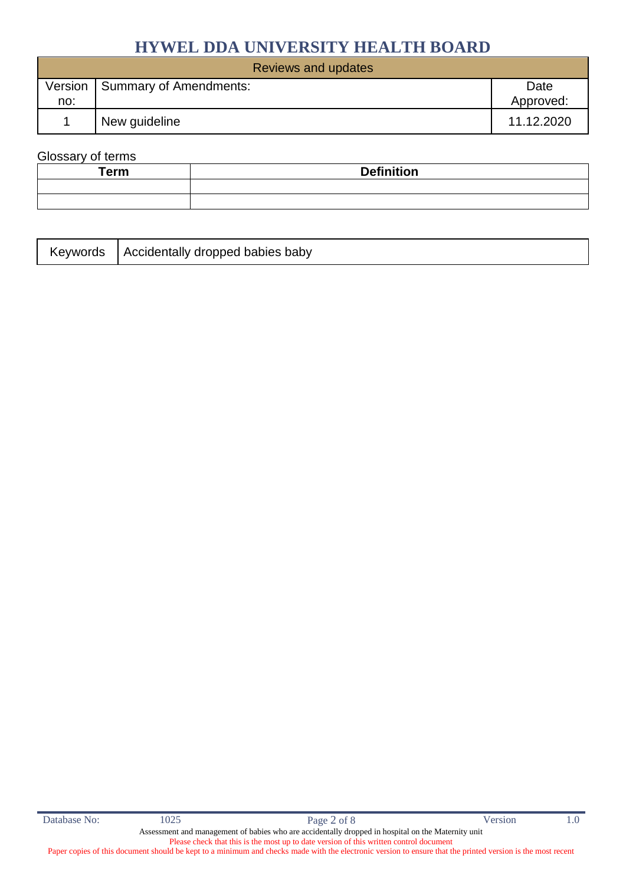| Reviews and updates |                        |            |  |
|---------------------|------------------------|------------|--|
| Version             | Summary of Amendments: | Date       |  |
| no:                 |                        | Approved:  |  |
|                     | New guideline          | 11.12.2020 |  |

#### Glossary of terms

| <b>Term</b> | <b>Definition</b> |
|-------------|-------------------|
|             |                   |
|             |                   |

|  | Keywords   Accidentally dropped babies baby |
|--|---------------------------------------------|
|--|---------------------------------------------|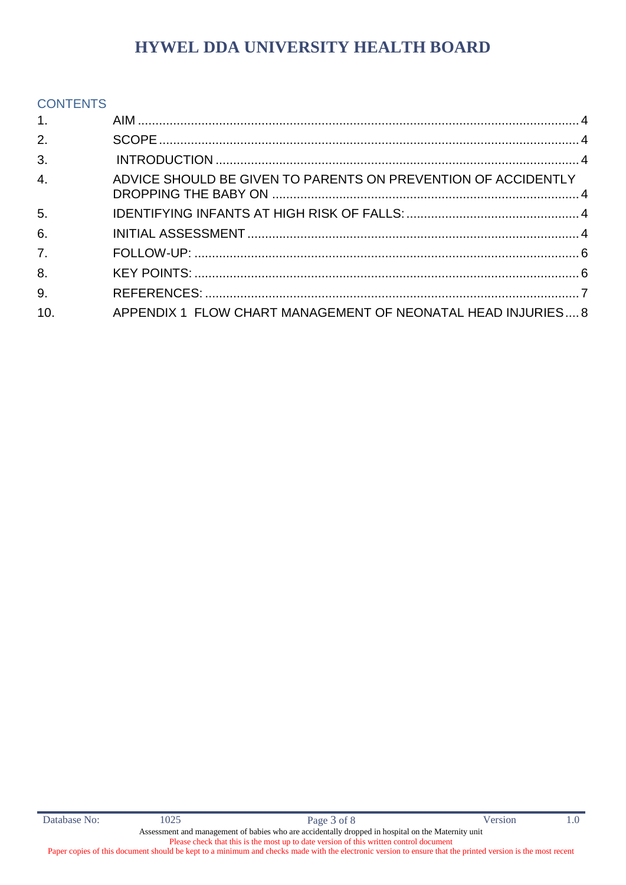#### **CONTENTS**

| 1.               |                                                               |  |
|------------------|---------------------------------------------------------------|--|
| 2.               |                                                               |  |
| 3.               |                                                               |  |
| 4.               | ADVICE SHOULD BE GIVEN TO PARENTS ON PREVENTION OF ACCIDENTLY |  |
| 5.               |                                                               |  |
| 6.               |                                                               |  |
| $\overline{7}$ . |                                                               |  |
| 8.               |                                                               |  |
| 9.               |                                                               |  |
| 10.              | APPENDIX 1 FLOW CHART MANAGEMENT OF NEONATAL HEAD INJURIES 8  |  |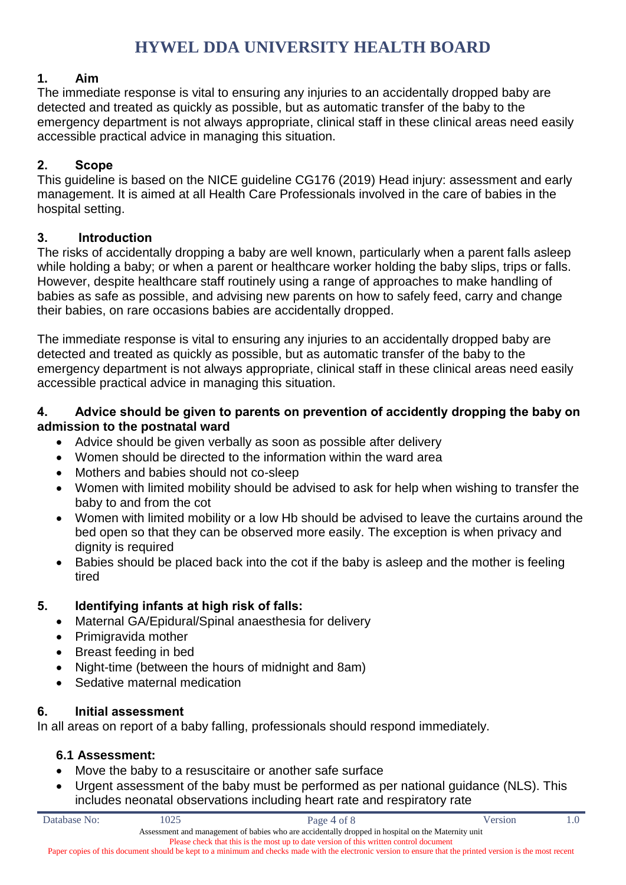#### <span id="page-3-0"></span>**1. Aim**

The immediate response is vital to ensuring any injuries to an accidentally dropped baby are detected and treated as quickly as possible, but as automatic transfer of the baby to the emergency department is not always appropriate, clinical staff in these clinical areas need easily accessible practical advice in managing this situation.

### <span id="page-3-1"></span>**2. Scope**

This guideline is based on the NICE guideline CG176 (2019) Head injury: assessment and early management. It is aimed at all Health Care Professionals involved in the care of babies in the hospital setting.

#### <span id="page-3-2"></span>**3. Introduction**

The risks of accidentally dropping a baby are well known, particularly when a parent falls asleep while holding a baby; or when a parent or healthcare worker holding the baby slips, trips or falls. However, despite healthcare staff routinely using a range of approaches to make handling of babies as safe as possible, and advising new parents on how to safely feed, carry and change their babies, on rare occasions babies are accidentally dropped.

The immediate response is vital to ensuring any injuries to an accidentally dropped baby are detected and treated as quickly as possible, but as automatic transfer of the baby to the emergency department is not always appropriate, clinical staff in these clinical areas need easily accessible practical advice in managing this situation.

#### <span id="page-3-3"></span>**4. Advice should be given to parents on prevention of accidently dropping the baby on admission to the postnatal ward**

- Advice should be given verbally as soon as possible after delivery
- Women should be directed to the information within the ward area
- Mothers and babies should not co-sleep
- Women with limited mobility should be advised to ask for help when wishing to transfer the baby to and from the cot
- Women with limited mobility or a low Hb should be advised to leave the curtains around the bed open so that they can be observed more easily. The exception is when privacy and dignity is required
- Babies should be placed back into the cot if the baby is asleep and the mother is feeling tired

### <span id="page-3-4"></span>**5. Identifying infants at high risk of falls:**

- Maternal GA/Epidural/Spinal anaesthesia for delivery
- Primigravida mother
- Breast feeding in bed
- Night-time (between the hours of midnight and 8am)
- Sedative maternal medication

### <span id="page-3-5"></span>**6. Initial assessment**

In all areas on report of a baby falling, professionals should respond immediately.

### **6.1 Assessment:**

- Move the baby to a resuscitaire or another safe surface
- Urgent assessment of the baby must be performed as per national guidance (NLS). This includes neonatal observations including heart rate and respiratory rate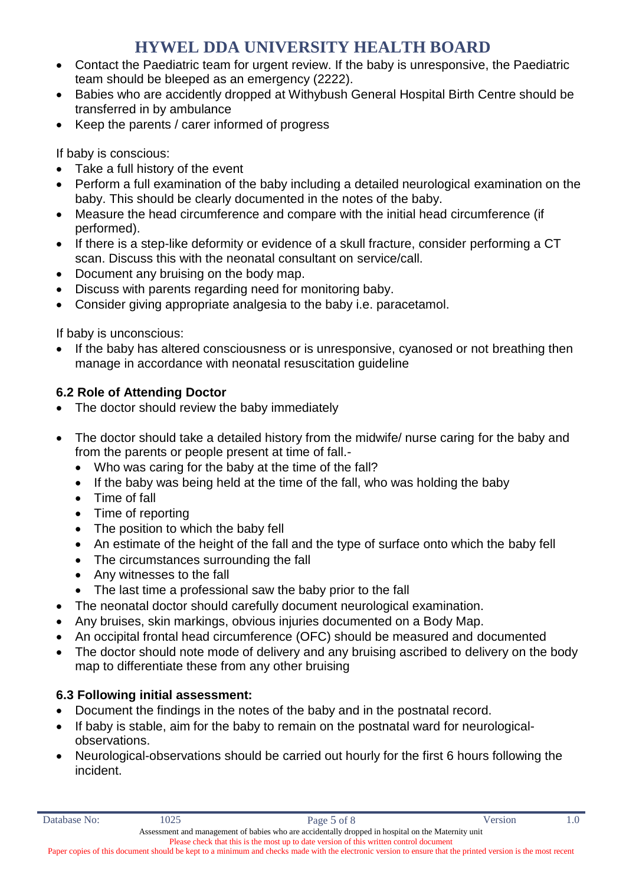- Contact the Paediatric team for urgent review. If the baby is unresponsive, the Paediatric team should be bleeped as an emergency (2222).
- Babies who are accidently dropped at Withybush General Hospital Birth Centre should be transferred in by ambulance
- Keep the parents / carer informed of progress

If baby is conscious:

- Take a full history of the event
- Perform a full examination of the baby including a detailed neurological examination on the baby. This should be clearly documented in the notes of the baby.
- Measure the head circumference and compare with the initial head circumference (if performed).
- If there is a step-like deformity or evidence of a skull fracture, consider performing a CT scan. Discuss this with the neonatal consultant on service/call.
- Document any bruising on the body map.
- Discuss with parents regarding need for monitoring baby.
- Consider giving appropriate analgesia to the baby i.e. paracetamol.

If baby is unconscious:

 If the baby has altered consciousness or is unresponsive, cyanosed or not breathing then manage in accordance with neonatal resuscitation guideline

### **6.2 Role of Attending Doctor**

- The doctor should review the baby immediately
- The doctor should take a detailed history from the midwife/ nurse caring for the baby and from the parents or people present at time of fall.-
	- Who was caring for the baby at the time of the fall?
	- If the baby was being held at the time of the fall, who was holding the baby
	- Time of fall
	- Time of reporting
	- The position to which the baby fell
	- An estimate of the height of the fall and the type of surface onto which the baby fell
	- The circumstances surrounding the fall
	- Any witnesses to the fall
	- The last time a professional saw the baby prior to the fall
- The neonatal doctor should carefully document neurological examination.
- Any bruises, skin markings, obvious injuries documented on a Body Map.
- An occipital frontal head circumference (OFC) should be measured and documented
- The doctor should note mode of delivery and any bruising ascribed to delivery on the body map to differentiate these from any other bruising

### **6.3 Following initial assessment:**

- Document the findings in the notes of the baby and in the postnatal record.
- If baby is stable, aim for the baby to remain on the postnatal ward for neurologicalobservations.
- Neurological-observations should be carried out hourly for the first 6 hours following the incident.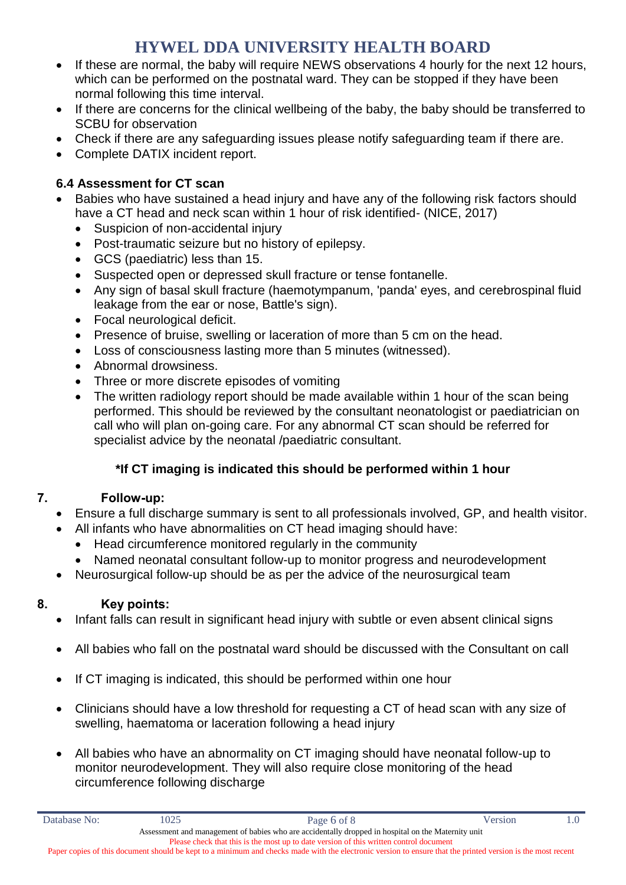- If these are normal, the baby will require NEWS observations 4 hourly for the next 12 hours, which can be performed on the postnatal ward. They can be stopped if they have been normal following this time interval.
- If there are concerns for the clinical wellbeing of the baby, the baby should be transferred to SCBU for observation
- Check if there are any safeguarding issues please notify safeguarding team if there are.
- Complete DATIX incident report.

### **6.4 Assessment for CT scan**

- Babies who have sustained a head injury and have any of the following risk factors should have a CT head and neck scan within 1 hour of risk identified- (NICE, 2017)
	- Suspicion of non-accidental injury
	- Post-traumatic seizure but no history of epilepsy.
	- GCS (paediatric) less than 15.
	- Suspected open or depressed skull fracture or tense fontanelle.
	- Any sign of basal skull fracture (haemotympanum, 'panda' eyes, and cerebrospinal fluid leakage from the ear or nose, Battle's sign).
	- Focal neurological deficit.
	- Presence of bruise, swelling or laceration of more than 5 cm on the head.
	- Loss of consciousness lasting more than 5 minutes (witnessed).
	- Abnormal drowsiness.
	- Three or more discrete episodes of vomiting
	- The written radiology report should be made available within 1 hour of the scan being performed. This should be reviewed by the consultant neonatologist or paediatrician on call who will plan on-going care. For any abnormal CT scan should be referred for specialist advice by the neonatal /paediatric consultant.

### **\*If CT imaging is indicated this should be performed within 1 hour**

### <span id="page-5-0"></span>**7. Follow-up:**

- Ensure a full discharge summary is sent to all professionals involved, GP, and health visitor.
- All infants who have abnormalities on CT head imaging should have:
	- Head circumference monitored regularly in the community
	- Named neonatal consultant follow-up to monitor progress and neurodevelopment
- Neurosurgical follow-up should be as per the advice of the neurosurgical team

### <span id="page-5-1"></span>**8. Key points:**

- Infant falls can result in significant head injury with subtle or even absent clinical signs
- All babies who fall on the postnatal ward should be discussed with the Consultant on call
- If CT imaging is indicated, this should be performed within one hour
- Clinicians should have a low threshold for requesting a CT of head scan with any size of swelling, haematoma or laceration following a head injury
- All babies who have an abnormality on CT imaging should have neonatal follow-up to monitor neurodevelopment. They will also require close monitoring of the head circumference following discharge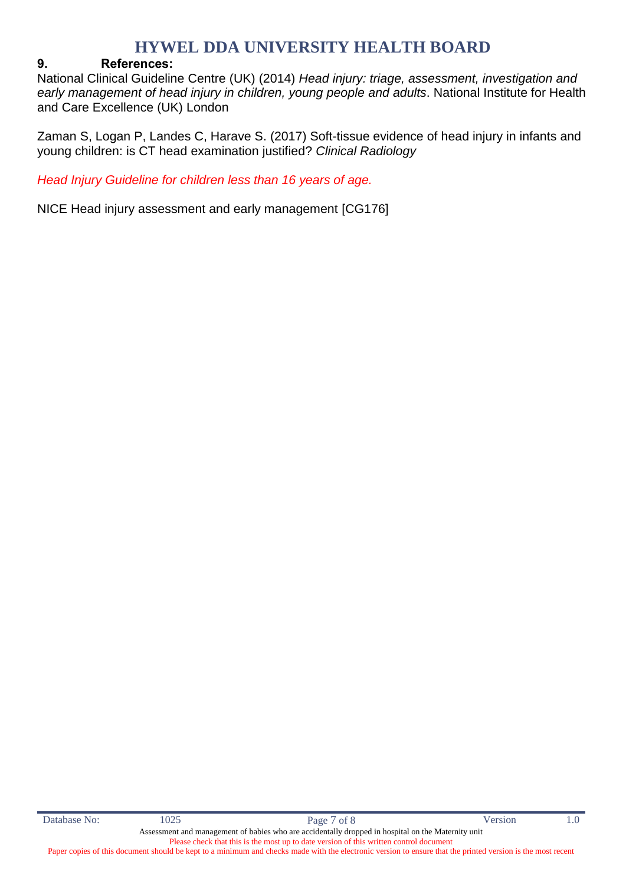#### <span id="page-6-0"></span>**9. References:**

National Clinical Guideline Centre (UK) (2014) *Head injury: triage, assessment, investigation and early management of head injury in children, young people and adults*. National Institute for Health and Care Excellence (UK) London

Zaman S, Logan P, Landes C, Harave S. (2017) Soft-tissue evidence of head injury in infants and young children: is CT head examination justified? *Clinical Radiology*

*Head Injury Guideline for children less than 16 years of age.*

NICE Head injury assessment and early management [CG176]